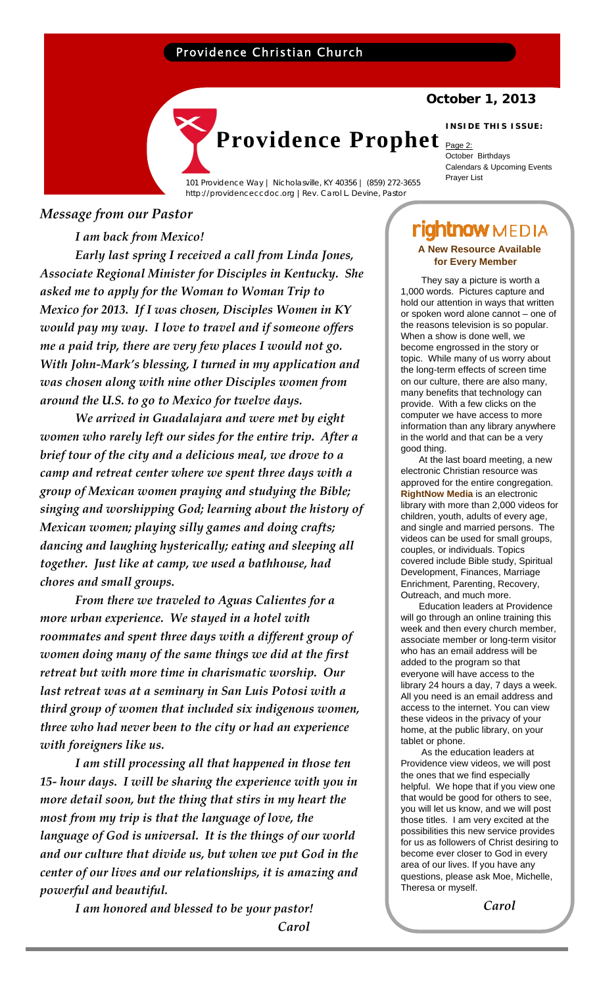# Providence Christian Church

http://providenceccdoc.org |Rev. Carol L. Devine, Pastor

## **October 1, 2013**

#### **INSIDE THIS ISSUE:**

**Providence Prophet Providence** October Birthdays Calendars & Upcoming Events **Prayer List** Providence Way | Nicholasville, KY 40356 | (859) 272-3655

### *Message from our Pastor*

*I am back from Mexico!* 

*Early last spring I received a call from Linda Jones, Associate Regional Minister for Disciples in Kentucky. She asked me to apply for the Woman to Woman Trip to Mexico for 2013. If I was chosen, Disciples Women in KY would pay my way. I love to travel and if someone offers me a paid trip, there are very few places I would not go. With John‐Mark's blessing, I turned in my application and was chosen along with nine other Disciples women from around the U.S. to go to Mexico for twelve days.* 

*We arrived in Guadalajara and were met by eight women who rarely left our sides for the entire trip. After a brief tour of the city and a delicious meal, we drove to a camp and retreat center where we spent three days with a group of Mexican women praying and studying the Bible; singing and worshipping God; learning about the history of Mexican women; playing silly games and doing crafts; dancing and laughing hysterically; eating and sleeping all together. Just like at camp, we used a bathhouse, had chores and small groups.*

*From there we traveled to Aguas Calientes for a more urban experience. We stayed in a hotel with roommates and spent three days with a different group of women doing many of the same things we did at the first retreat but with more time in charismatic worship. Our last retreat was at a seminary in San Luis Potosi with a third group of women that included six indigenous women, three who had never been to the city or had an experience with foreigners like us.*

*I am still processing all that happened in those ten 15‐ hour days. I will be sharing the experience with you in more detail soon, but the thing that stirs in my heart the most from my trip is that the language of love, the language of God is universal. It is the things of our world and our culture that divide us, but when we put God in the center of our lives and our relationships, it is amazing and powerful and beautiful.*

> *I am honored and blessed to be your pastor! Carol*

# **rightnow** MEDIA **A New Resource Available**

 They say a picture is worth a 1,000 words. Pictures capture and hold our attention in ways that written or spoken word alone cannot – one of the reasons television is so popular. When a show is done well, we become engrossed in the story or topic. While many of us worry about the long-term effects of screen time on our culture, there are also many, many benefits that technology can provide. With a few clicks on the computer we have access to more information than any library anywhere in the world and that can be a very **for Every Member**

 At the last board meeting, a new electronic Christian resource was approved for the entire congregation. **RightNow Media** is an electronic library with more than 2,000 videos for children, youth, adults of every age, and single and married persons. The videos can be used for small groups, couples, or individuals. Topics covered include Bible study, Spiritual Development, Finances, Marriage Enrichment, Parenting, Recovery, Outreach, and much more.

good thing.

 Education leaders at Providence will go through an online training this week and then every church member, associate member or long-term visitor who has an email address will be added to the program so that everyone will have access to the library 24 hours a day, 7 days a week. All you need is an email address and access to the internet. You can view these videos in the privacy of your home, at the public library, on your tablet or phone.

 As the education leaders at Providence view videos, we will post the ones that we find especially helpful. We hope that if you view one that would be good for others to see, you will let us know, and we will post those titles. I am very excited at the possibilities this new service provides for us as followers of Christ desiring to become ever closer to God in every area of our lives. If you have any questions, please ask Moe, Michelle, Theresa or myself.

 *Carol*